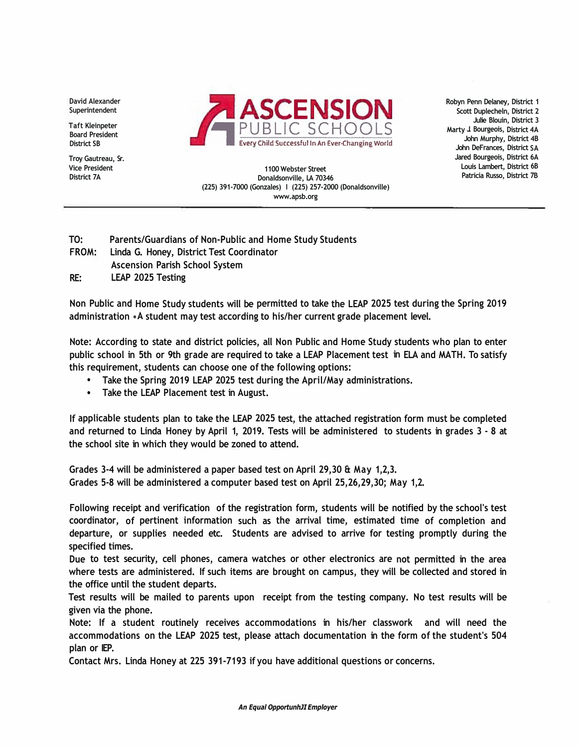**David Alexander Superintendent** 

**Taft Kleinpeter Board President District SB** 

**Troy Gautreau, Sr. Vice President District 7A** 



**Robyn Penn Delaney, District 1 Scott Duplecheln, District 2 Julie Blouin, District 3 Marty J. Bourgeois, District 4A John Murphy, District 4B John DeFrances, District SA Jared Bourgeois, District 6A Louis Lambert, District 6B Patricia Russo, District 7B** 

**1100 Webster Street Donaldsonville, LA 70346 (225) 391-7000 (Gonzales) I (225) 257-2000 (Donaldsonville) www.apsb.org** 

- **TO: Parents/Guardians of Non-Public and Home Study Students**
- **FROM: Linda G. Honey, District Test Coordinator Ascension Parish School System**
- **RE: LEAP 2025 Testing**

**Non Public and Home Study students will be permitted to take the LEAP 2025 test during the Spring 2019 administration •A student may test according to his/her current grade placement level.** 

**Note: According to state and district policies, all Non Public and Home Study students who plan to enter public school in 5th or 9th grade are required to take a LEAP Placement test in ELA and MATH. To satisfy this requirement, students can choose one of the following options:** 

- **• Take the Spring 2019 LEAP 2025 test during the April/May administrations.**
- **• Take the LEAP Placement test in August.**

**If applicable students plan to take the LEAP 2025 test, the attached registration form must be completed and returned to Linda Honey by April 1, 2019. Tests will be administered to students in grades 3 - 8 at the school site in which they would be zoned to attend.** 

**Grades 3-4 will be administered a paper based test on April 29,30 & May 1,2,3. Grades 5-8 will be administered a computer based test on April 25,26,29,30; May 1,2.** 

**Following receipt and verification of the registration form, students will be notified by the school's test coordinator, of pertinent information such as the arrival time, estimated time of completion and departure, or supplies needed etc. Students are advised to arrive for testing promptly during the specified times.** 

**Due to test security, cell phones, camera watches or other electronics are not permitted in the area where tests are administered. If such items are brought on campus, they will be collected and stored in the office until the student departs.** 

**Test results will be mailed to parents upon receipt from the testing company. No test results will be given via the phone.** 

**Note: If a student routinely receives accommodations in his/her classwork and will need the accommodations on the LEAP 2025 test, please attach documentation in the form of the student's 504 plan or IEP.** 

**Contact Mrs. Linda Honey at 225 391-7193 if you have additional questions or concerns.**